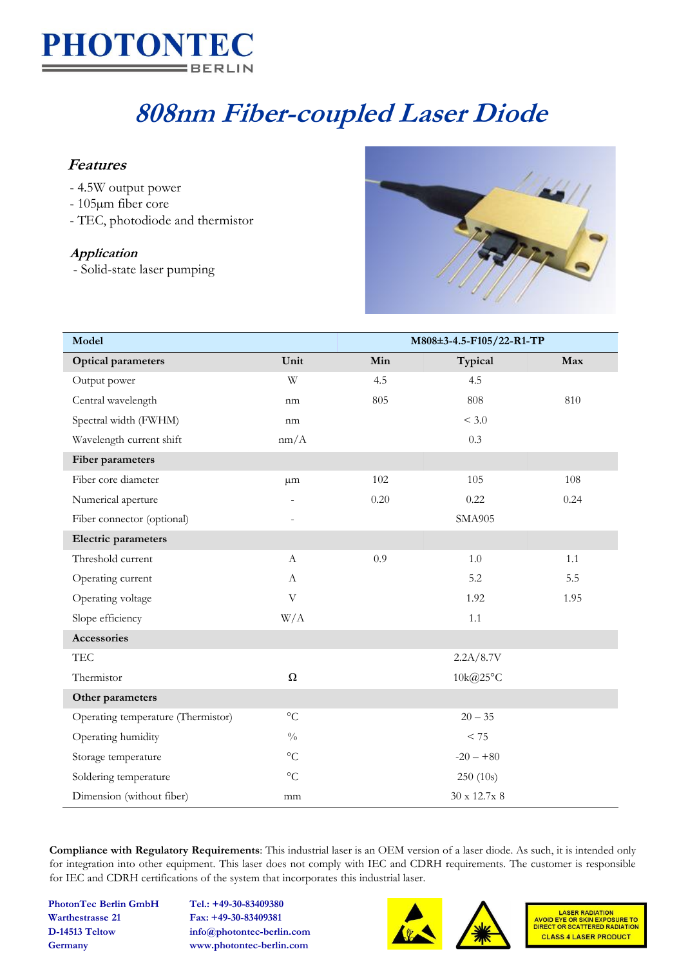

# **808nm Fiber-coupled Laser Diode**

### **Features**

- 4.5W output power
- 105µm fiber core
- TEC, photodiode and thermistor

#### **Application**

- Solid-state laser pumping



| Model                              |                       | M808±3-4.5-F105/22-R1-TP |                     |      |
|------------------------------------|-----------------------|--------------------------|---------------------|------|
| <b>Optical parameters</b>          | Unit                  | Min                      | Typical             | Max  |
| Output power                       | W                     | 4.5                      | 4.5                 |      |
| Central wavelength                 | nm                    | 805                      | 808                 | 810  |
| Spectral width (FWHM)              | nm                    |                          | < 3.0               |      |
| Wavelength current shift           | nm/A                  |                          | 0.3                 |      |
| Fiber parameters                   |                       |                          |                     |      |
| Fiber core diameter                | $\mu$ m               | 102                      | 105                 | 108  |
| Numerical aperture                 |                       | 0.20                     | 0.22                | 0.24 |
| Fiber connector (optional)         |                       |                          | <b>SMA905</b>       |      |
| Electric parameters                |                       |                          |                     |      |
| Threshold current                  | $\boldsymbol{A}$      | 0.9                      | $1.0\,$             | 1.1  |
| Operating current                  | A                     |                          | 5.2                 | 5.5  |
| Operating voltage                  | $\boldsymbol{\nabla}$ |                          | 1.92                | 1.95 |
| Slope efficiency                   | W/A                   |                          | 1.1                 |      |
| Accessories                        |                       |                          |                     |      |
| TEC                                |                       |                          | 2.2A/8.7V           |      |
| Thermistor                         | $\Omega$              |                          | $10 \text{k}$ @25°C |      |
| Other parameters                   |                       |                          |                     |      |
| Operating temperature (Thermistor) | $\rm ^{\circ}C$       |                          | $20 - 35$           |      |
| Operating humidity                 | $\sqrt[0]{\!0}$       |                          | $< 75\,$            |      |
| Storage temperature                | $\rm ^{\circ}C$       |                          | $-20 - +80$         |      |
| Soldering temperature              | $\rm ^{\circ}C$       |                          | 250(10s)            |      |
| Dimension (without fiber)          | mm                    |                          | $30 \times 12.7x$ 8 |      |

**Compliance with Regulatory Requirements**: This industrial laser is an OEM version of a laser diode. As such, it is intended only for integration into other equipment. This laser does not comply with IEC and CDRH requirements. The customer is responsible for IEC and CDRH certifications of the system that incorporates this industrial laser.

**PhotonTec Berlin GmbH Tel.: +49-30-83409380 Warthestrasse 21 Fax: +49-30-83409381**

**D-14513 Teltow info@photontec-berlin.com Germany www.photontec-berlin.com**